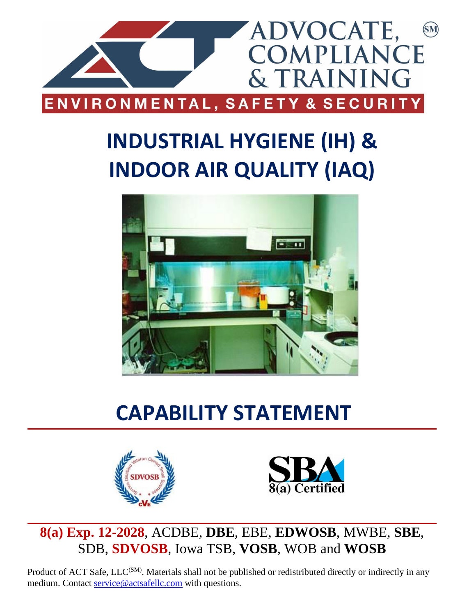

# **INDUSTRIAL HYGIENE (IH) & INDOOR AIR QUALITY (IAQ)**



## **CAPABILITY STATEMENT**





**8(a) Exp. 12-2028**, ACDBE, **DBE**, EBE, **EDWOSB**, MWBE, **SBE**, SDB, **SDVOSB**, Iowa TSB, **VOSB**, WOB and **WOSB**

Product of ACT Safe, LLC<sup>(SM)</sup>. Materials shall not be published or redistributed directly or indirectly in any medium. Contact [service@actsafellc.com](mailto:service@actsafellc.com) with questions.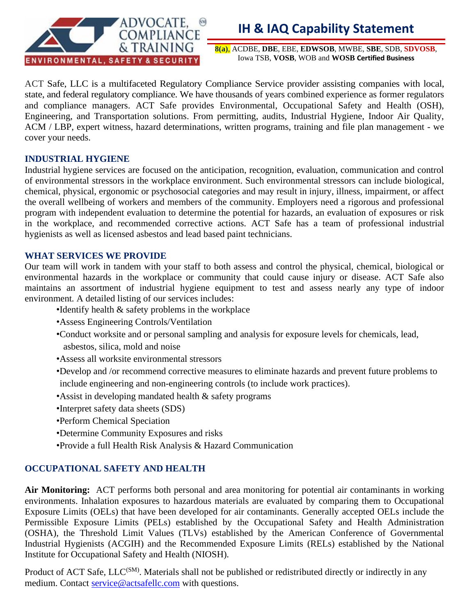

## **IH & IAQ Capability Statement**

**8(a)**, ACDBE, **DBE**, EBE, **EDWSOB**, MWBE, **SBE**, SDB, **SDVOSB**, Iowa TSB, **VOSB**, WOB and **WOSB Certified Business**

ACT Safe, LLC is a multifaceted Regulatory Compliance Service provider assisting companies with local, state, and federal regulatory compliance. We have thousands of years combined experience as former regulators and compliance managers. ACT Safe provides Environmental, Occupational Safety and Health (OSH), Engineering, and Transportation solutions. From permitting, audits, Industrial Hygiene, Indoor Air Quality, ACM / LBP, expert witness, hazard determinations, written programs, training and file plan management - we cover your needs.

#### **INDUSTRIAL HYGIENE**

Industrial hygiene services are focused on the anticipation, recognition, evaluation, communication and control of environmental stressors in the workplace environment. Such environmental stressors can include biological, chemical, physical, ergonomic or psychosocial categories and may result in injury, illness, impairment, or affect the overall wellbeing of workers and members of the community. Employers need a rigorous and professional program with independent evaluation to determine the potential for hazards, an evaluation of exposures or risk in the workplace, and recommended corrective actions. ACT Safe has a team of professional industrial hygienists as well as licensed asbestos and lead based paint technicians.

#### **WHAT SERVICES WE PROVIDE**

Our team will work in tandem with your staff to both assess and control the physical, chemical, biological or environmental hazards in the workplace or community that could cause injury or disease. ACT Safe also maintains an assortment of industrial hygiene equipment to test and assess nearly any type of indoor environment*.* A detailed listing of our services includes:

- •Identify health & safety problems in the workplace
- •Assess Engineering Controls/Ventilation
- •Conduct worksite and or personal sampling and analysis for exposure levels for chemicals, lead, asbestos, silica, mold and noise
- •Assess all worksite environmental stressors
- •Develop and /or recommend corrective measures to eliminate hazards and prevent future problems to include engineering and non-engineering controls (to include work practices).
- •Assist in developing mandated health & safety programs
- •Interpret safety data sheets (SDS)
- •Perform Chemical Speciation
- •Determine Community Exposures and risks
- •Provide a full Health Risk Analysis & Hazard Communication

#### **OCCUPATIONAL SAFETY AND HEALTH**

**Air Monitoring:** ACT performs both personal and area monitoring for potential air contaminants in working environments. Inhalation exposures to hazardous materials are evaluated by comparing them to Occupational Exposure Limits (OELs) that have been developed for air contaminants. Generally accepted OELs include the Permissible Exposure Limits (PELs) established by the Occupational Safety and Health Administration (OSHA), the Threshold Limit Values (TLVs) established by the American Conference of Governmental Industrial Hygienists (ACGIH) and the Recommended Exposure Limits (RELs) established by the National Institute for Occupational Safety and Health (NIOSH).

Product of ACT Safe, LLC<sup>(SM)</sup>. Materials shall not be published or redistributed directly or indirectly in any medium. Contact [service@actsafellc.com](mailto:service@actsafellc.com) with questions.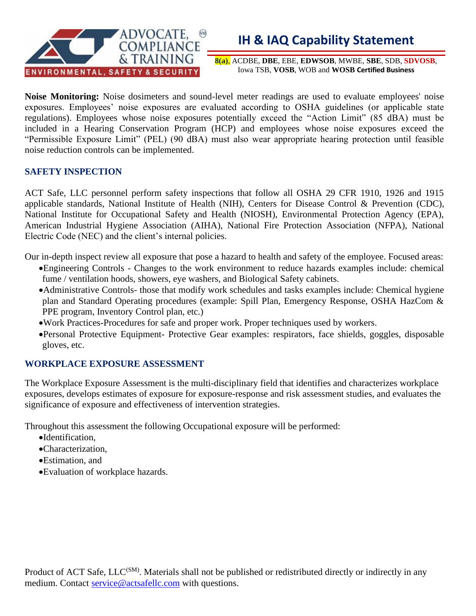

## **IH & IAQ Capability Statement**

**8(a)**, ACDBE, **DBE**, EBE, **EDWSOB**, MWBE, **SBE**, SDB, **SDVOSB**, Iowa TSB, **VOSB**, WOB and **WOSB Certified Business**

**Noise Monitoring:** Noise dosimeters and sound-level meter readings are used to evaluate employees' noise exposures. Employees' noise exposures are evaluated according to OSHA guidelines (or applicable state regulations). Employees whose noise exposures potentially exceed the "Action Limit" (85 dBA) must be included in a Hearing Conservation Program (HCP) and employees whose noise exposures exceed the "Permissible Exposure Limit" (PEL) (90 dBA) must also wear appropriate hearing protection until feasible noise reduction controls can be implemented.

#### **SAFETY INSPECTION**

ACT Safe, LLC personnel perform safety inspections that follow all OSHA 29 CFR 1910, 1926 and 1915 applicable standards, National Institute of Health (NIH), Centers for Disease Control & Prevention (CDC), National Institute for Occupational Safety and Health (NIOSH), Environmental Protection Agency (EPA), American Industrial Hygiene Association (AIHA), National Fire Protection Association (NFPA), National Electric Code (NEC) and the client's internal policies.

Our in-depth inspect review all exposure that pose a hazard to health and safety of the employee. Focused areas:

- •Engineering Controls Changes to the work environment to reduce hazards examples include: chemical fume / ventilation hoods, showers, eye washers, and Biological Safety cabinets.
- •Administrative Controls- those that modify work schedules and tasks examples include: Chemical hygiene plan and Standard Operating procedures (example: Spill Plan, Emergency Response, OSHA HazCom & PPE program, Inventory Control plan, etc.)
- •Work Practices-Procedures for safe and proper work. Proper techniques used by workers.
- •Personal Protective Equipment- Protective Gear examples: respirators, face shields, goggles, disposable gloves, etc.

#### **WORKPLACE EXPOSURE ASSESSMENT**

The Workplace Exposure Assessment is the multi-disciplinary field that identifies and characterizes workplace exposures, develops estimates of exposure for exposure-response and risk assessment studies, and evaluates the significance of exposure and effectiveness of intervention strategies.

Throughout this assessment the following Occupational exposure will be performed:

- •Identification,
- •Characterization,
- •Estimation, and
- •Evaluation of workplace hazards.